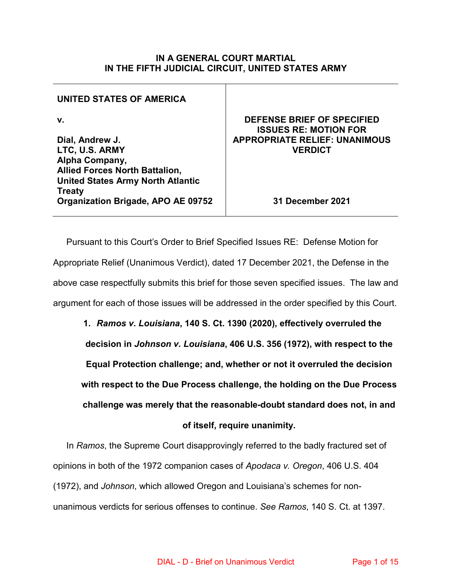#### **IN A GENERAL COURT MARTIAL IN THE FIFTH JUDICIAL CIRCUIT, UNITED STATES ARMY**

### **UNITED STATES OF AMERICA**

**v.**

**Dial, Andrew J. LTC, U.S. ARMY Alpha Company, Allied Forces North Battalion, United States Army North Atlantic Treaty Organization Brigade, APO AE 09752**

### **DEFENSE BRIEF OF SPECIFIED ISSUES RE: MOTION FOR APPROPRIATE RELIEF: UNANIMOUS VERDICT**

**31 December 2021**

Pursuant to this Court's Order to Brief Specified Issues RE: Defense Motion for Appropriate Relief (Unanimous Verdict), dated 17 December 2021, the Defense in the above case respectfully submits this brief for those seven specified issues. The law and argument for each of those issues will be addressed in the order specified by this Court.

**1.** *Ramos v. Louisiana***, 140 S. Ct. 1390 (2020), effectively overruled the decision in** *Johnson v. Louisiana***, 406 U.S. 356 (1972), with respect to the Equal Protection challenge; and, whether or not it overruled the decision with respect to the Due Process challenge, the holding on the Due Process challenge was merely that the reasonable-doubt standard does not, in and of itself, require unanimity.**

In *Ramos*, the Supreme Court disapprovingly referred to the badly fractured set of opinions in both of the 1972 companion cases of *Apodaca v. Oregon*, 406 U.S. 404 (1972), and *Johnson*, which allowed Oregon and Louisiana's schemes for nonunanimous verdicts for serious offenses to continue. *See Ramos*, 140 S. Ct. at 1397.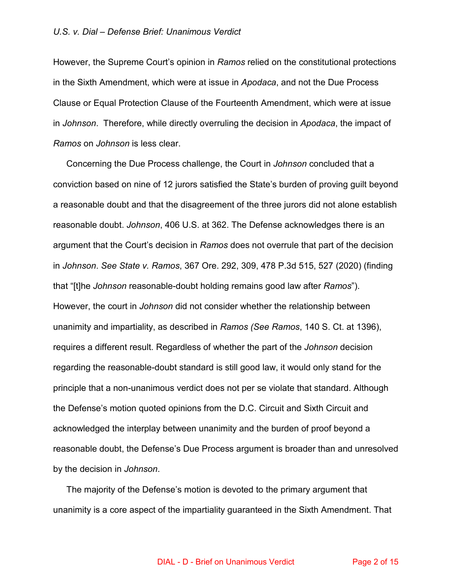However, the Supreme Court's opinion in *Ramos* relied on the constitutional protections in the Sixth Amendment, which were at issue in *Apodaca*, and not the Due Process Clause or Equal Protection Clause of the Fourteenth Amendment, which were at issue in *Johnson*. Therefore, while directly overruling the decision in *Apodaca*, the impact of *Ramos* on *Johnson* is less clear.

Concerning the Due Process challenge, the Court in *Johnson* concluded that a conviction based on nine of 12 jurors satisfied the State's burden of proving guilt beyond a reasonable doubt and that the disagreement of the three jurors did not alone establish reasonable doubt. *Johnson*, 406 U.S. at 362. The Defense acknowledges there is an argument that the Court's decision in *Ramos* does not overrule that part of the decision in *Johnson*. *See State v. Ramos*, 367 Ore. 292, 309, 478 P.3d 515, 527 (2020) (finding that "[t]he *Johnson* reasonable-doubt holding remains good law after *Ramos*"). However, the court in *Johnson* did not consider whether the relationship between unanimity and impartiality, as described in *Ramos (See Ramos*, 140 S. Ct. at 1396), requires a different result. Regardless of whether the part of the *Johnson* decision regarding the reasonable-doubt standard is still good law, it would only stand for the principle that a non-unanimous verdict does not per se violate that standard. Although the Defense's motion quoted opinions from the D.C. Circuit and Sixth Circuit and acknowledged the interplay between unanimity and the burden of proof beyond a reasonable doubt, the Defense's Due Process argument is broader than and unresolved by the decision in *Johnson*.

The majority of the Defense's motion is devoted to the primary argument that unanimity is a core aspect of the impartiality guaranteed in the Sixth Amendment. That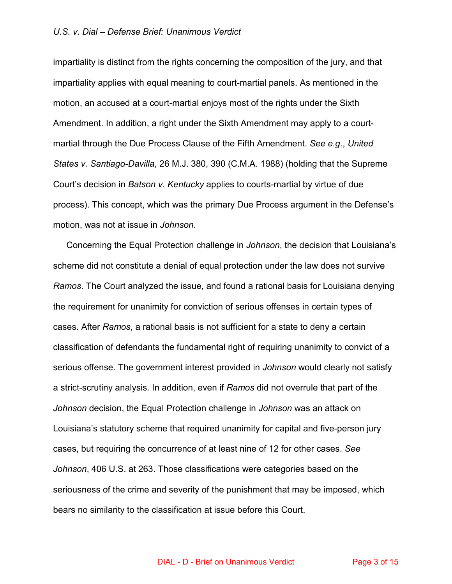impartiality is distinct from the rights concerning the composition of the jury, and that impartiality applies with equal meaning to court-martial panels. As mentioned in the motion, an accused at a court-martial enjoys most of the rights under the Sixth Amendment. In addition, a right under the Sixth Amendment may apply to a courtmartial through the Due Process Clause of the Fifth Amendment. *See e.g*., *United States v. Santiago-Davilla*, 26 M.J. 380, 390 (C.M.A. 1988) (holding that the Supreme Court's decision in *Batson v. Kentucky* applies to courts-martial by virtue of due process). This concept, which was the primary Due Process argument in the Defense's motion, was not at issue in *Johnson*.

Concerning the Equal Protection challenge in *Johnson*, the decision that Louisiana's scheme did not constitute a denial of equal protection under the law does not survive *Ramos*. The Court analyzed the issue, and found a rational basis for Louisiana denying the requirement for unanimity for conviction of serious offenses in certain types of cases. After *Ramos*, a rational basis is not sufficient for a state to deny a certain classification of defendants the fundamental right of requiring unanimity to convict of a serious offense. The government interest provided in *Johnson* would clearly not satisfy a strict-scrutiny analysis. In addition, even if *Ramos* did not overrule that part of the *Johnson* decision, the Equal Protection challenge in *Johnson* was an attack on Louisiana's statutory scheme that required unanimity for capital and five-person jury cases, but requiring the concurrence of at least nine of 12 for other cases. *See Johnson*, 406 U.S. at 263. Those classifications were categories based on the seriousness of the crime and severity of the punishment that may be imposed, which bears no similarity to the classification at issue before this Court.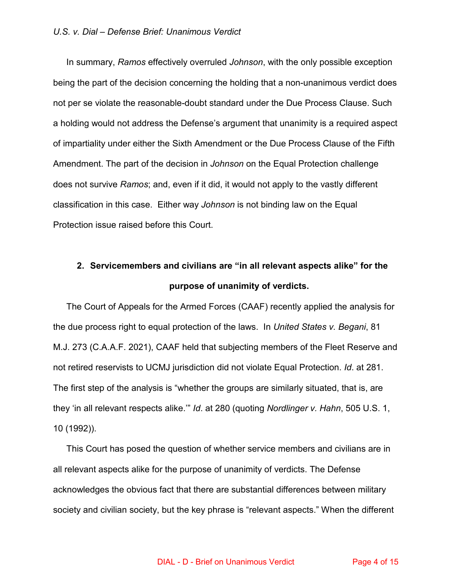In summary, *Ramos* effectively overruled *Johnson*, with the only possible exception being the part of the decision concerning the holding that a non-unanimous verdict does not per se violate the reasonable-doubt standard under the Due Process Clause. Such a holding would not address the Defense's argument that unanimity is a required aspect of impartiality under either the Sixth Amendment or the Due Process Clause of the Fifth Amendment. The part of the decision in *Johnson* on the Equal Protection challenge does not survive *Ramos*; and, even if it did, it would not apply to the vastly different classification in this case. Either way *Johnson* is not binding law on the Equal Protection issue raised before this Court.

## **2. Servicemembers and civilians are "in all relevant aspects alike" for the purpose of unanimity of verdicts.**

The Court of Appeals for the Armed Forces (CAAF) recently applied the analysis for the due process right to equal protection of the laws. In *United States v. Begani*, 81 M.J. 273 (C.A.A.F. 2021), CAAF held that subjecting members of the Fleet Reserve and not retired reservists to UCMJ jurisdiction did not violate Equal Protection. *Id*. at 281. The first step of the analysis is "whether the groups are similarly situated, that is, are they 'in all relevant respects alike.'" *Id*. at 280 (quoting *Nordlinger v. Hahn*, 505 U.S. 1, 10 (1992)).

This Court has posed the question of whether service members and civilians are in all relevant aspects alike for the purpose of unanimity of verdicts. The Defense acknowledges the obvious fact that there are substantial differences between military society and civilian society, but the key phrase is "relevant aspects." When the different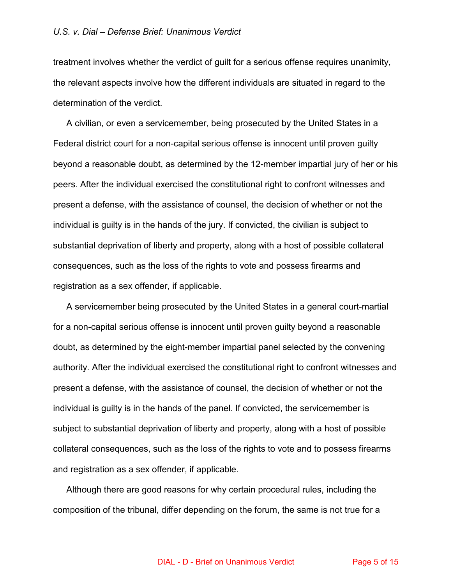treatment involves whether the verdict of guilt for a serious offense requires unanimity, the relevant aspects involve how the different individuals are situated in regard to the determination of the verdict.

A civilian, or even a servicemember, being prosecuted by the United States in a Federal district court for a non-capital serious offense is innocent until proven guilty beyond a reasonable doubt, as determined by the 12-member impartial jury of her or his peers. After the individual exercised the constitutional right to confront witnesses and present a defense, with the assistance of counsel, the decision of whether or not the individual is guilty is in the hands of the jury. If convicted, the civilian is subject to substantial deprivation of liberty and property, along with a host of possible collateral consequences, such as the loss of the rights to vote and possess firearms and registration as a sex offender, if applicable.

A servicemember being prosecuted by the United States in a general court-martial for a non-capital serious offense is innocent until proven guilty beyond a reasonable doubt, as determined by the eight-member impartial panel selected by the convening authority. After the individual exercised the constitutional right to confront witnesses and present a defense, with the assistance of counsel, the decision of whether or not the individual is guilty is in the hands of the panel. If convicted, the servicemember is subject to substantial deprivation of liberty and property, along with a host of possible collateral consequences, such as the loss of the rights to vote and to possess firearms and registration as a sex offender, if applicable.

Although there are good reasons for why certain procedural rules, including the composition of the tribunal, differ depending on the forum, the same is not true for a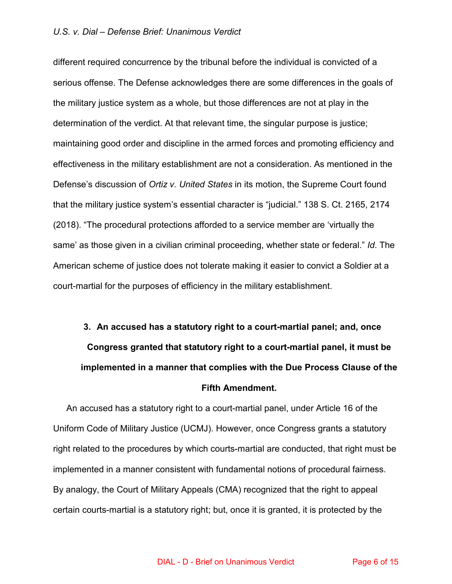different required concurrence by the tribunal before the individual is convicted of a serious offense. The Defense acknowledges there are some differences in the goals of the military justice system as a whole, but those differences are not at play in the determination of the verdict. At that relevant time, the singular purpose is justice; maintaining good order and discipline in the armed forces and promoting efficiency and effectiveness in the military establishment are not a consideration. As mentioned in the Defense's discussion of *Ortiz v. United States* in its motion, the Supreme Court found that the military justice system's essential character is "judicial." 138 S. Ct. 2165, 2174 (2018). "The procedural protections afforded to a service member are 'virtually the same' as those given in a civilian criminal proceeding, whether state or federal." *Id*. The American scheme of justice does not tolerate making it easier to convict a Soldier at a court-martial for the purposes of efficiency in the military establishment.

# **3. An accused has a statutory right to a court-martial panel; and, once Congress granted that statutory right to a court-martial panel, it must be implemented in a manner that complies with the Due Process Clause of the Fifth Amendment.**

 An accused has a statutory right to a court-martial panel, under Article 16 of the Uniform Code of Military Justice (UCMJ). However, once Congress grants a statutory right related to the procedures by which courts-martial are conducted, that right must be implemented in a manner consistent with fundamental notions of procedural fairness. By analogy, the Court of Military Appeals (CMA) recognized that the right to appeal certain courts-martial is a statutory right; but, once it is granted, it is protected by the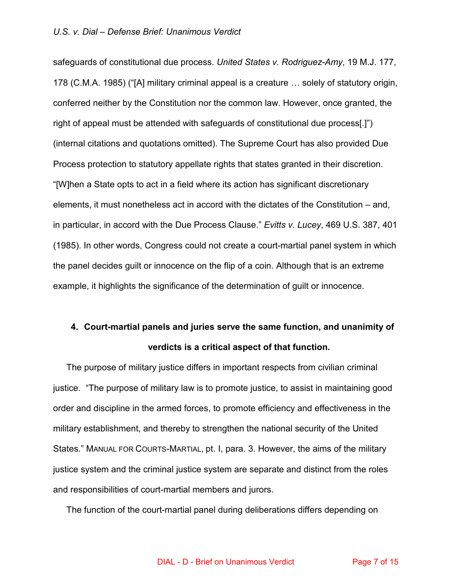safeguards of constitutional due process. *United States v. Rodriguez-Amy*, 19 M.J. 177, 178 (C.M.A. 1985) ("[A] military criminal appeal is a creature … solely of statutory origin, conferred neither by the Constitution nor the common law. However, once granted, the right of appeal must be attended with safeguards of constitutional due process[.]") (internal citations and quotations omitted). The Supreme Court has also provided Due Process protection to statutory appellate rights that states granted in their discretion. "[W]hen a State opts to act in a field where its action has significant discretionary elements, it must nonetheless act in accord with the dictates of the Constitution – and, in particular, in accord with the Due Process Clause." *Evitts v. Lucey*, 469 U.S. 387, 401 (1985). In other words, Congress could not create a court-martial panel system in which the panel decides guilt or innocence on the flip of a coin. Although that is an extreme example, it highlights the significance of the determination of guilt or innocence.

## **4. Court-martial panels and juries serve the same function, and unanimity of verdicts is a critical aspect of that function.**

The purpose of military justice differs in important respects from civilian criminal justice. "The purpose of military law is to promote justice, to assist in maintaining good order and discipline in the armed forces, to promote efficiency and effectiveness in the military establishment, and thereby to strengthen the national security of the United States." MANUAL FOR COURTS-MARTIAL, pt. I, para. 3. However, the aims of the military justice system and the criminal justice system are separate and distinct from the roles and responsibilities of court-martial members and jurors.

The function of the court-martial panel during deliberations differs depending on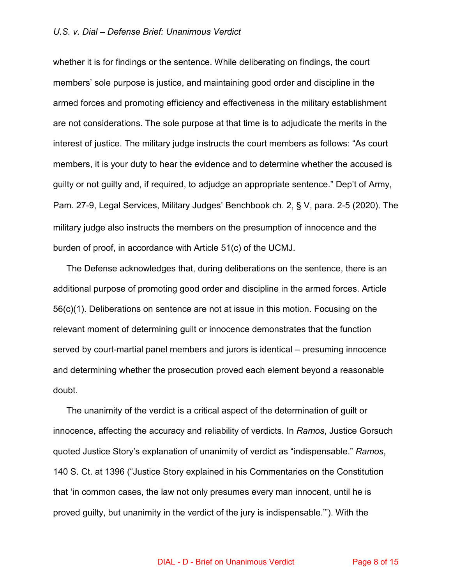whether it is for findings or the sentence. While deliberating on findings, the court members' sole purpose is justice, and maintaining good order and discipline in the armed forces and promoting efficiency and effectiveness in the military establishment are not considerations. The sole purpose at that time is to adjudicate the merits in the interest of justice. The military judge instructs the court members as follows: "As court members, it is your duty to hear the evidence and to determine whether the accused is guilty or not guilty and, if required, to adjudge an appropriate sentence." Dep't of Army, Pam. 27-9, Legal Services, Military Judges' Benchbook ch. 2, § V, para. 2-5 (2020). The military judge also instructs the members on the presumption of innocence and the burden of proof, in accordance with Article 51(c) of the UCMJ.

The Defense acknowledges that, during deliberations on the sentence, there is an additional purpose of promoting good order and discipline in the armed forces. Article 56(c)(1). Deliberations on sentence are not at issue in this motion. Focusing on the relevant moment of determining guilt or innocence demonstrates that the function served by court-martial panel members and jurors is identical – presuming innocence and determining whether the prosecution proved each element beyond a reasonable doubt.

The unanimity of the verdict is a critical aspect of the determination of guilt or innocence, affecting the accuracy and reliability of verdicts. In *Ramos*, Justice Gorsuch quoted Justice Story's explanation of unanimity of verdict as "indispensable." *Ramos*, 140 S. Ct. at 1396 ("Justice Story explained in his Commentaries on the Constitution that 'in common cases, the law not only presumes every man innocent, until he is proved guilty, but unanimity in the verdict of the jury is indispensable.'"). With the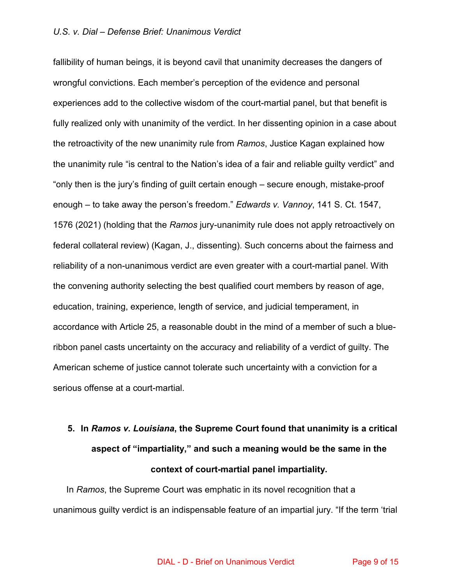fallibility of human beings, it is beyond cavil that unanimity decreases the dangers of wrongful convictions. Each member's perception of the evidence and personal experiences add to the collective wisdom of the court-martial panel, but that benefit is fully realized only with unanimity of the verdict. In her dissenting opinion in a case about the retroactivity of the new unanimity rule from *Ramos*, Justice Kagan explained how the unanimity rule "is central to the Nation's idea of a fair and reliable guilty verdict" and "only then is the jury's finding of guilt certain enough – secure enough, mistake-proof enough – to take away the person's freedom." *Edwards v. Vannoy*, 141 S. Ct. 1547, 1576 (2021) (holding that the *Ramos* jury-unanimity rule does not apply retroactively on federal collateral review) (Kagan, J., dissenting). Such concerns about the fairness and reliability of a non-unanimous verdict are even greater with a court-martial panel. With the convening authority selecting the best qualified court members by reason of age, education, training, experience, length of service, and judicial temperament, in accordance with Article 25, a reasonable doubt in the mind of a member of such a blueribbon panel casts uncertainty on the accuracy and reliability of a verdict of guilty. The American scheme of justice cannot tolerate such uncertainty with a conviction for a serious offense at a court-martial.

# **5. In** *Ramos v. Louisiana***, the Supreme Court found that unanimity is a critical aspect of "impartiality," and such a meaning would be the same in the context of court-martial panel impartiality.**

In *Ramos*, the Supreme Court was emphatic in its novel recognition that a unanimous guilty verdict is an indispensable feature of an impartial jury. "If the term 'trial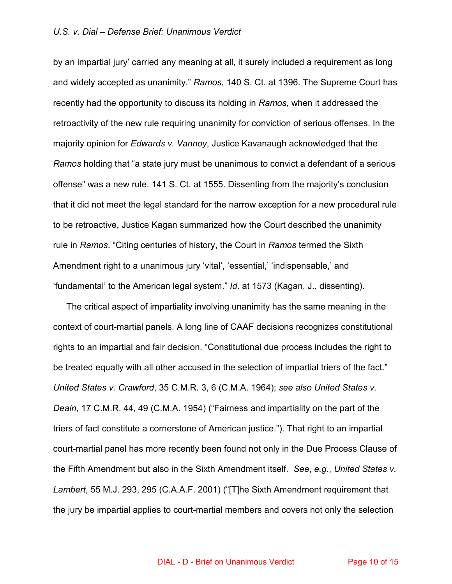by an impartial jury' carried any meaning at all, it surely included a requirement as long and widely accepted as unanimity." *Ramos*, 140 S. Ct. at 1396. The Supreme Court has recently had the opportunity to discuss its holding in *Ramos*, when it addressed the retroactivity of the new rule requiring unanimity for conviction of serious offenses. In the majority opinion for *Edwards v. Vannoy*, Justice Kavanaugh acknowledged that the *Ramos* holding that "a state jury must be unanimous to convict a defendant of a serious offense" was a new rule. 141 S. Ct. at 1555. Dissenting from the majority's conclusion that it did not meet the legal standard for the narrow exception for a new procedural rule to be retroactive, Justice Kagan summarized how the Court described the unanimity rule in *Ramos*. "Citing centuries of history, the Court in *Ramos* termed the Sixth Amendment right to a unanimous jury 'vital', 'essential,' 'indispensable,' and 'fundamental' to the American legal system." *Id*. at 1573 (Kagan, J., dissenting).

The critical aspect of impartiality involving unanimity has the same meaning in the context of court-martial panels. A long line of CAAF decisions recognizes constitutional rights to an impartial and fair decision. "Constitutional due process includes the right to be treated equally with all other accused in the selection of impartial triers of the fact." *United States v. Crawford*, 35 C.M.R. 3, 6 (C.M.A. 1964); *see also United States v. Deain*, 17 C.M.R. 44, 49 (C.M.A. 1954) ("Fairness and impartiality on the part of the triers of fact constitute a cornerstone of American justice."). That right to an impartial court-martial panel has more recently been found not only in the Due Process Clause of the Fifth Amendment but also in the Sixth Amendment itself. *See*, *e.g*., *United States v. Lambert*, 55 M.J. 293, 295 (C.A.A.F. 2001) ("[T]he Sixth Amendment requirement that the jury be impartial applies to court-martial members and covers not only the selection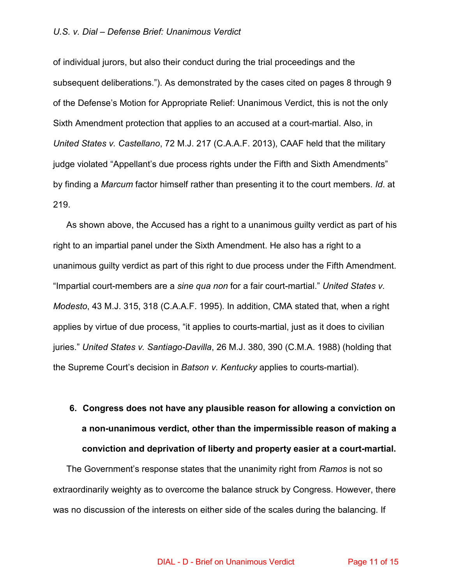of individual jurors, but also their conduct during the trial proceedings and the subsequent deliberations."). As demonstrated by the cases cited on pages 8 through 9 of the Defense's Motion for Appropriate Relief: Unanimous Verdict, this is not the only Sixth Amendment protection that applies to an accused at a court-martial. Also, in *United States v. Castellano*, 72 M.J. 217 (C.A.A.F. 2013), CAAF held that the military judge violated "Appellant's due process rights under the Fifth and Sixth Amendments" by finding a *Marcum* factor himself rather than presenting it to the court members. *Id*. at 219.

As shown above, the Accused has a right to a unanimous guilty verdict as part of his right to an impartial panel under the Sixth Amendment. He also has a right to a unanimous guilty verdict as part of this right to due process under the Fifth Amendment. "Impartial court-members are a *sine qua non* for a fair court-martial." *United States v. Modesto*, 43 M.J. 315, 318 (C.A.A.F. 1995). In addition, CMA stated that, when a right applies by virtue of due process, "it applies to courts-martial, just as it does to civilian juries." *United States v. Santiago-Davilla*, 26 M.J. 380, 390 (C.M.A. 1988) (holding that the Supreme Court's decision in *Batson v. Kentucky* applies to courts-martial).

# **6. Congress does not have any plausible reason for allowing a conviction on a non-unanimous verdict, other than the impermissible reason of making a conviction and deprivation of liberty and property easier at a court-martial.**

The Government's response states that the unanimity right from *Ramos* is not so extraordinarily weighty as to overcome the balance struck by Congress. However, there was no discussion of the interests on either side of the scales during the balancing. If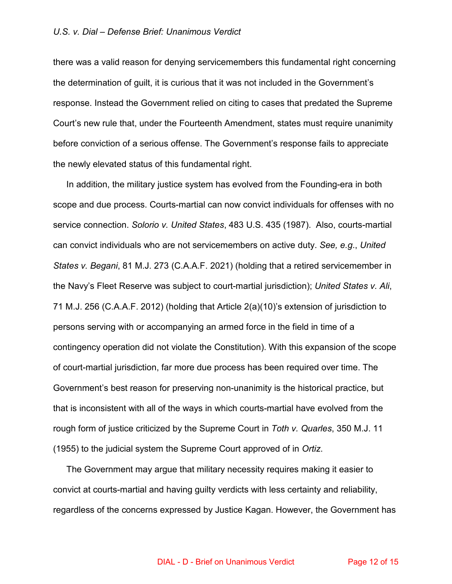there was a valid reason for denying servicemembers this fundamental right concerning the determination of guilt, it is curious that it was not included in the Government's response. Instead the Government relied on citing to cases that predated the Supreme Court's new rule that, under the Fourteenth Amendment, states must require unanimity before conviction of a serious offense. The Government's response fails to appreciate the newly elevated status of this fundamental right.

In addition, the military justice system has evolved from the Founding-era in both scope and due process. Courts-martial can now convict individuals for offenses with no service connection. *Solorio v. United States*, 483 U.S. 435 (1987). Also, courts-martial can convict individuals who are not servicemembers on active duty. *See, e.g*., *United States v. Begani*, 81 M.J. 273 (C.A.A.F. 2021) (holding that a retired servicemember in the Navy's Fleet Reserve was subject to court-martial jurisdiction); *United States v. Ali*, 71 M.J. 256 (C.A.A.F. 2012) (holding that Article 2(a)(10)'s extension of jurisdiction to persons serving with or accompanying an armed force in the field in time of a contingency operation did not violate the Constitution). With this expansion of the scope of court-martial jurisdiction, far more due process has been required over time. The Government's best reason for preserving non-unanimity is the historical practice, but that is inconsistent with all of the ways in which courts-martial have evolved from the rough form of justice criticized by the Supreme Court in *Toth v. Quarles*, 350 M.J. 11 (1955) to the judicial system the Supreme Court approved of in *Ortiz*.

The Government may argue that military necessity requires making it easier to convict at courts-martial and having guilty verdicts with less certainty and reliability, regardless of the concerns expressed by Justice Kagan. However, the Government has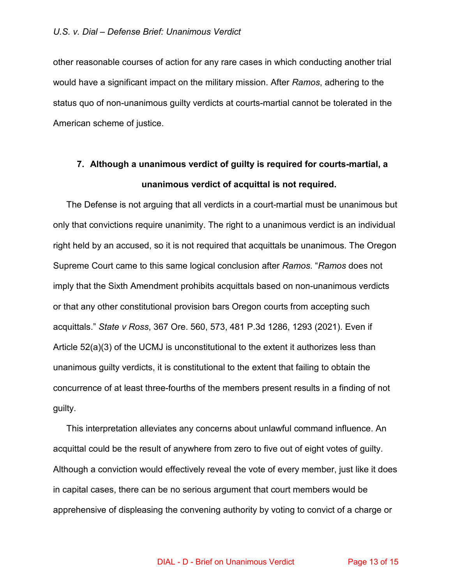other reasonable courses of action for any rare cases in which conducting another trial would have a significant impact on the military mission. After *Ramos*, adhering to the status quo of non-unanimous guilty verdicts at courts-martial cannot be tolerated in the American scheme of justice.

## **7. Although a unanimous verdict of guilty is required for courts-martial, a unanimous verdict of acquittal is not required.**

The Defense is not arguing that all verdicts in a court-martial must be unanimous but only that convictions require unanimity. The right to a unanimous verdict is an individual right held by an accused, so it is not required that acquittals be unanimous. The Oregon Supreme Court came to this same logical conclusion after *Ramos*. "*Ramos* does not imply that the Sixth Amendment prohibits acquittals based on non-unanimous verdicts or that any other constitutional provision bars Oregon courts from accepting such acquittals." *State v Ross*, 367 Ore. 560, 573, 481 P.3d 1286, 1293 (2021). Even if Article 52(a)(3) of the UCMJ is unconstitutional to the extent it authorizes less than unanimous guilty verdicts, it is constitutional to the extent that failing to obtain the concurrence of at least three-fourths of the members present results in a finding of not guilty.

This interpretation alleviates any concerns about unlawful command influence. An acquittal could be the result of anywhere from zero to five out of eight votes of guilty. Although a conviction would effectively reveal the vote of every member, just like it does in capital cases, there can be no serious argument that court members would be apprehensive of displeasing the convening authority by voting to convict of a charge or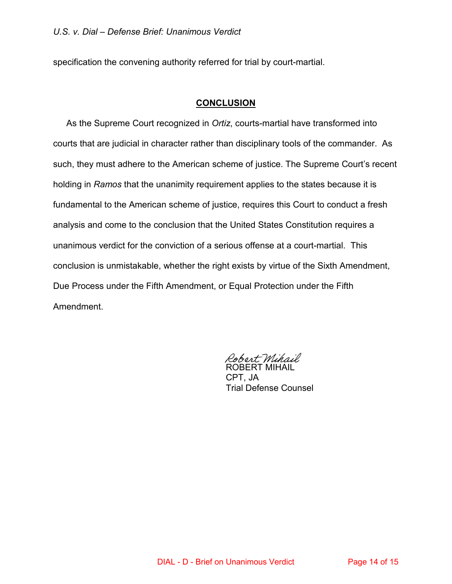specification the convening authority referred for trial by court-martial.

#### **CONCLUSION**

As the Supreme Court recognized in *Ortiz*, courts-martial have transformed into courts that are judicial in character rather than disciplinary tools of the commander. As such, they must adhere to the American scheme of justice. The Supreme Court's recent holding in *Ramos* that the unanimity requirement applies to the states because it is fundamental to the American scheme of justice, requires this Court to conduct a fresh analysis and come to the conclusion that the United States Constitution requires a unanimous verdict for the conviction of a serious offense at a court-martial. This conclusion is unmistakable, whether the right exists by virtue of the Sixth Amendment, Due Process under the Fifth Amendment, or Equal Protection under the Fifth Amendment.

Robert Mihail ROBERT MIHAIL

CPT, JA Trial Defense Counsel